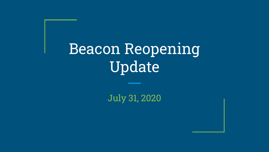# Beacon Reopening Update

July 31, 2020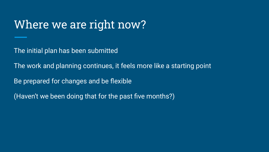#### Where we are right now?

The initial plan has been submitted

The work and planning continues, it feels more like a starting point

Be prepared for changes and be flexible

(Haven't we been doing that for the past five months?)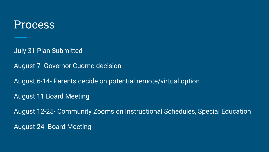#### Process

July 31 Plan Submitted

August 7- Governor Cuomo decision

August 6-14- Parents decide on potential remote/virtual option

August 11 Board Meeting

August 12-25- Community Zooms on Instructional Schedules, Special Education August 24- Board Meeting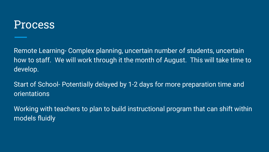#### Process

Remote Learning- Complex planning, uncertain number of students, uncertain how to staff. We will work through it the month of August. This will take time to develop.

Start of School- Potentially delayed by 1-2 days for more preparation time and orientations

Working with teachers to plan to build instructional program that can shift within models fluidly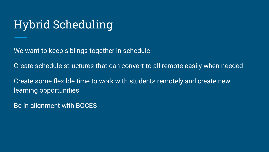## Hybrid Scheduling

We want to keep siblings together in schedule

Create schedule structures that can convert to all remote easily when needed

Create some flexible time to work with students remotely and create new learning opportunities

Be in alignment with BOCES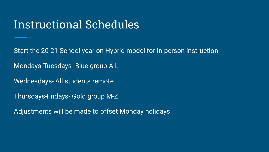#### Instructional Schedules

Start the 20-21 School year on Hybrid model for in-person instruction

Mondays-Tuesdays- Blue group A-L

Wednesdays- All students remote

Thursdays-Fridays- Gold group M-Z

Adjustments will be made to offset Monday holidays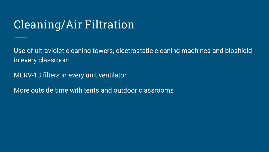## Cleaning/Air Filtration

Use of ultraviolet cleaning towers, electrostatic cleaning machines and bioshield in every classroom

MERV-13 filters in every unit ventilator

More outside time with tents and outdoor classrooms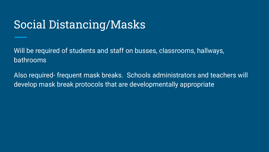### Social Distancing/Masks

Will be required of students and staff on busses, classrooms, hallways, bathrooms

Also required- frequent mask breaks. Schools administrators and teachers will develop mask break protocols that are developmentally appropriate